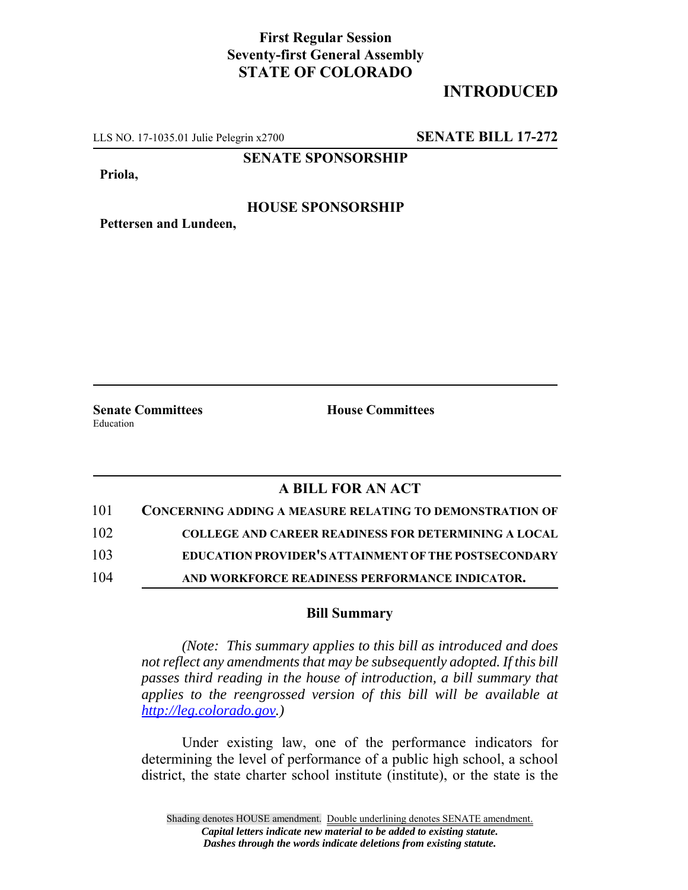## **First Regular Session Seventy-first General Assembly STATE OF COLORADO**

# **INTRODUCED**

LLS NO. 17-1035.01 Julie Pelegrin x2700 **SENATE BILL 17-272**

**SENATE SPONSORSHIP**

**Priola,**

### **HOUSE SPONSORSHIP**

**Pettersen and Lundeen,**

Education

**Senate Committees House Committees** 

### **A BILL FOR AN ACT**

| 101 | <b>CONCERNING ADDING A MEASURE RELATING TO DEMONSTRATION OF</b> |
|-----|-----------------------------------------------------------------|
| 102 | <b>COLLEGE AND CAREER READINESS FOR DETERMINING A LOCAL</b>     |
| 103 | EDUCATION PROVIDER'S ATTAINMENT OF THE POSTSECONDARY            |
| 104 | AND WORKFORCE READINESS PERFORMANCE INDICATOR.                  |

#### **Bill Summary**

*(Note: This summary applies to this bill as introduced and does not reflect any amendments that may be subsequently adopted. If this bill passes third reading in the house of introduction, a bill summary that applies to the reengrossed version of this bill will be available at http://leg.colorado.gov.)*

Under existing law, one of the performance indicators for determining the level of performance of a public high school, a school district, the state charter school institute (institute), or the state is the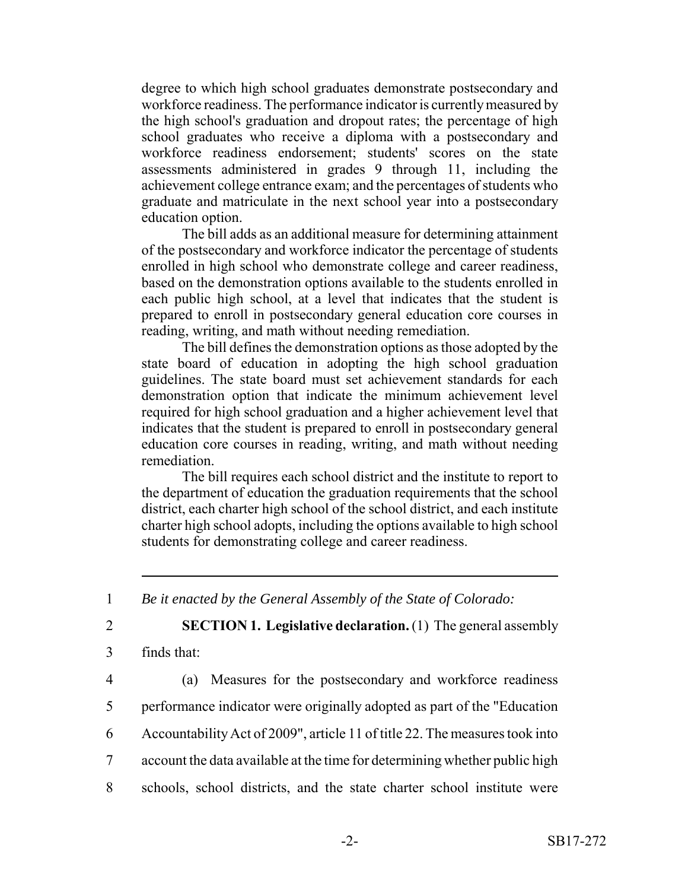degree to which high school graduates demonstrate postsecondary and workforce readiness. The performance indicator is currently measured by the high school's graduation and dropout rates; the percentage of high school graduates who receive a diploma with a postsecondary and workforce readiness endorsement; students' scores on the state assessments administered in grades 9 through 11, including the achievement college entrance exam; and the percentages of students who graduate and matriculate in the next school year into a postsecondary education option.

The bill adds as an additional measure for determining attainment of the postsecondary and workforce indicator the percentage of students enrolled in high school who demonstrate college and career readiness, based on the demonstration options available to the students enrolled in each public high school, at a level that indicates that the student is prepared to enroll in postsecondary general education core courses in reading, writing, and math without needing remediation.

The bill defines the demonstration options as those adopted by the state board of education in adopting the high school graduation guidelines. The state board must set achievement standards for each demonstration option that indicate the minimum achievement level required for high school graduation and a higher achievement level that indicates that the student is prepared to enroll in postsecondary general education core courses in reading, writing, and math without needing remediation.

The bill requires each school district and the institute to report to the department of education the graduation requirements that the school district, each charter high school of the school district, and each institute charter high school adopts, including the options available to high school students for demonstrating college and career readiness.

1 *Be it enacted by the General Assembly of the State of Colorado:*

2 **SECTION 1. Legislative declaration.** (1) The general assembly

- 3 finds that:
- 

4 (a) Measures for the postsecondary and workforce readiness

- 5 performance indicator were originally adopted as part of the "Education
- 6 Accountability Act of 2009", article 11 of title 22. The measures took into
- 7 account the data available at the time for determining whether public high
- 8 schools, school districts, and the state charter school institute were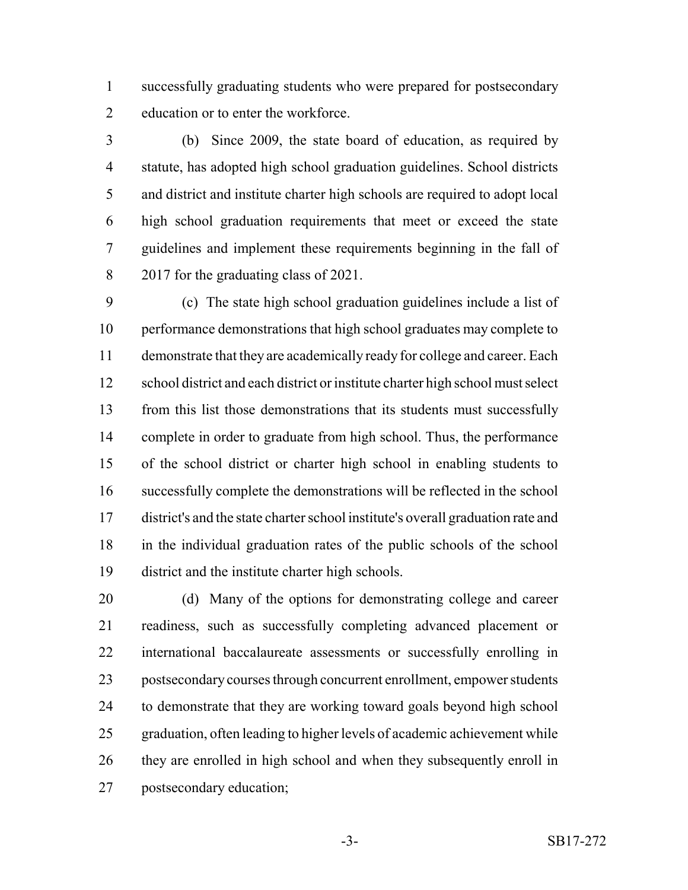successfully graduating students who were prepared for postsecondary education or to enter the workforce.

 (b) Since 2009, the state board of education, as required by statute, has adopted high school graduation guidelines. School districts and district and institute charter high schools are required to adopt local high school graduation requirements that meet or exceed the state guidelines and implement these requirements beginning in the fall of 2017 for the graduating class of 2021.

 (c) The state high school graduation guidelines include a list of performance demonstrations that high school graduates may complete to demonstrate that they are academically ready for college and career. Each school district and each district or institute charter high school must select from this list those demonstrations that its students must successfully complete in order to graduate from high school. Thus, the performance of the school district or charter high school in enabling students to successfully complete the demonstrations will be reflected in the school district's and the state charter school institute's overall graduation rate and in the individual graduation rates of the public schools of the school district and the institute charter high schools.

 (d) Many of the options for demonstrating college and career readiness, such as successfully completing advanced placement or international baccalaureate assessments or successfully enrolling in postsecondary courses through concurrent enrollment, empower students to demonstrate that they are working toward goals beyond high school graduation, often leading to higher levels of academic achievement while they are enrolled in high school and when they subsequently enroll in postsecondary education;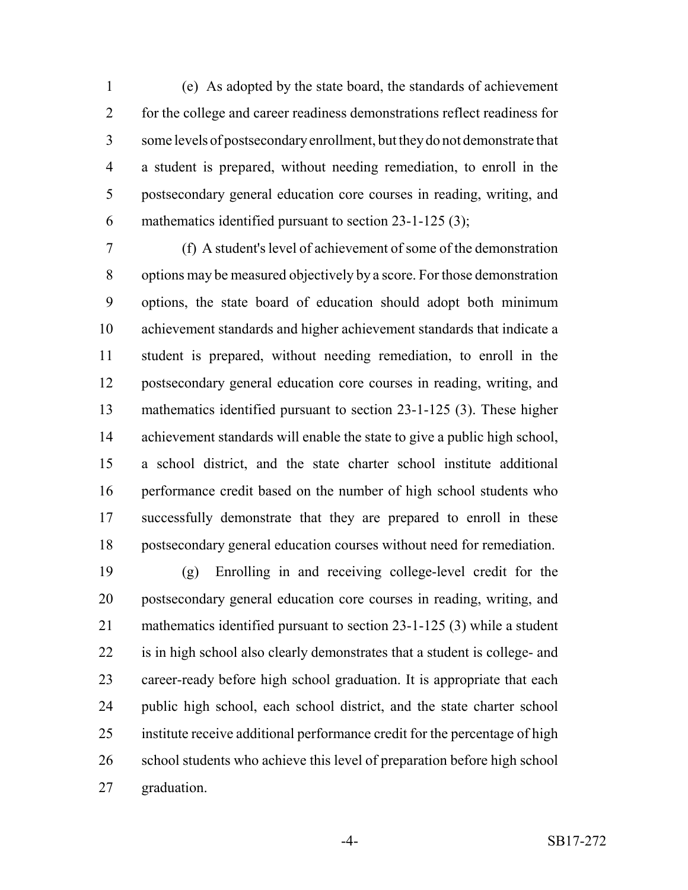(e) As adopted by the state board, the standards of achievement for the college and career readiness demonstrations reflect readiness for some levels of postsecondary enrollment, but they do not demonstrate that a student is prepared, without needing remediation, to enroll in the postsecondary general education core courses in reading, writing, and mathematics identified pursuant to section 23-1-125 (3);

 (f) A student's level of achievement of some of the demonstration options may be measured objectively by a score. For those demonstration options, the state board of education should adopt both minimum achievement standards and higher achievement standards that indicate a student is prepared, without needing remediation, to enroll in the postsecondary general education core courses in reading, writing, and mathematics identified pursuant to section 23-1-125 (3). These higher achievement standards will enable the state to give a public high school, a school district, and the state charter school institute additional performance credit based on the number of high school students who successfully demonstrate that they are prepared to enroll in these postsecondary general education courses without need for remediation.

 (g) Enrolling in and receiving college-level credit for the postsecondary general education core courses in reading, writing, and mathematics identified pursuant to section 23-1-125 (3) while a student is in high school also clearly demonstrates that a student is college- and 23 career-ready before high school graduation. It is appropriate that each public high school, each school district, and the state charter school institute receive additional performance credit for the percentage of high school students who achieve this level of preparation before high school graduation.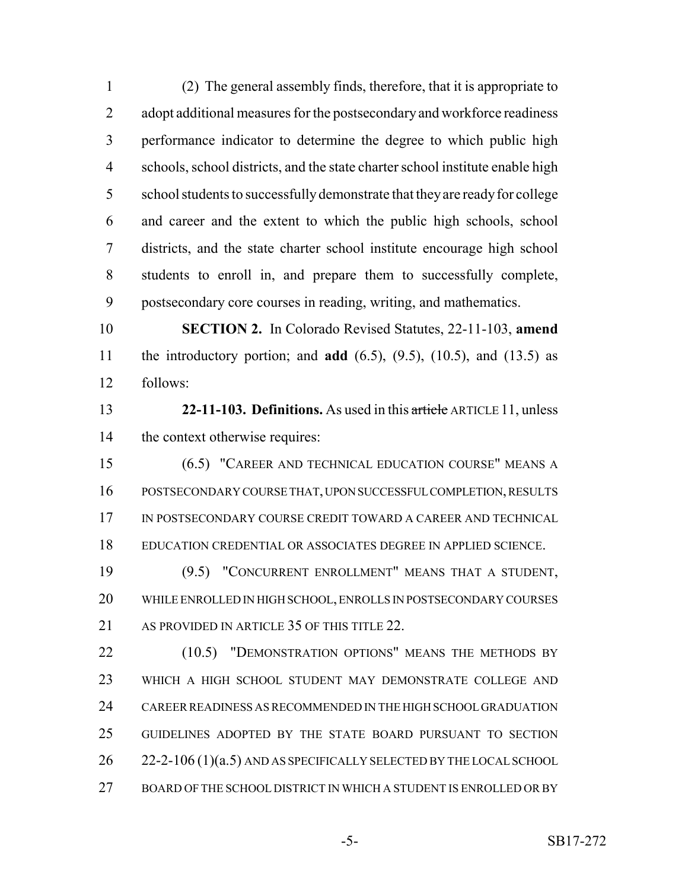(2) The general assembly finds, therefore, that it is appropriate to 2 adopt additional measures for the postsecondary and workforce readiness performance indicator to determine the degree to which public high schools, school districts, and the state charter school institute enable high school students to successfully demonstrate that they are ready for college and career and the extent to which the public high schools, school districts, and the state charter school institute encourage high school students to enroll in, and prepare them to successfully complete, postsecondary core courses in reading, writing, and mathematics.

 **SECTION 2.** In Colorado Revised Statutes, 22-11-103, **amend** the introductory portion; and **add** (6.5), (9.5), (10.5), and (13.5) as follows:

 **22-11-103. Definitions.** As used in this article ARTICLE 11, unless the context otherwise requires:

 (6.5) "CAREER AND TECHNICAL EDUCATION COURSE" MEANS A POSTSECONDARY COURSE THAT, UPON SUCCESSFUL COMPLETION, RESULTS 17 IN POSTSECONDARY COURSE CREDIT TOWARD A CAREER AND TECHNICAL EDUCATION CREDENTIAL OR ASSOCIATES DEGREE IN APPLIED SCIENCE.

 (9.5) "CONCURRENT ENROLLMENT" MEANS THAT A STUDENT, WHILE ENROLLED IN HIGH SCHOOL, ENROLLS IN POSTSECONDARY COURSES 21 AS PROVIDED IN ARTICLE 35 OF THIS TITLE 22.

22 (10.5) "DEMONSTRATION OPTIONS" MEANS THE METHODS BY WHICH A HIGH SCHOOL STUDENT MAY DEMONSTRATE COLLEGE AND CAREER READINESS AS RECOMMENDED IN THE HIGH SCHOOL GRADUATION GUIDELINES ADOPTED BY THE STATE BOARD PURSUANT TO SECTION 26 22-2-106 (1)(a.5) AND AS SPECIFICALLY SELECTED BY THE LOCAL SCHOOL 27 BOARD OF THE SCHOOL DISTRICT IN WHICH A STUDENT IS ENROLLED OR BY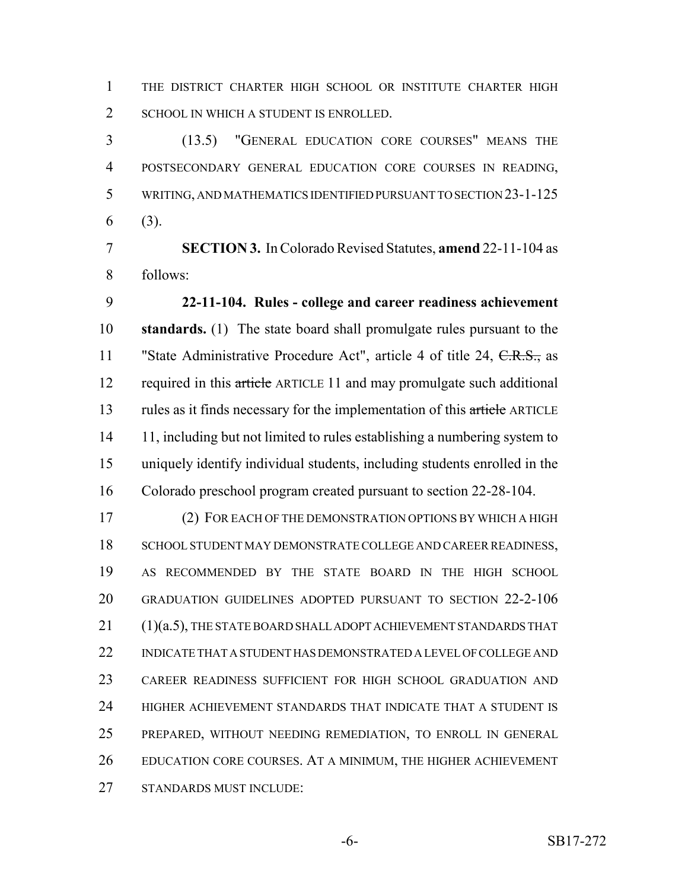THE DISTRICT CHARTER HIGH SCHOOL OR INSTITUTE CHARTER HIGH 2 SCHOOL IN WHICH A STUDENT IS ENROLLED.

 (13.5) "GENERAL EDUCATION CORE COURSES" MEANS THE POSTSECONDARY GENERAL EDUCATION CORE COURSES IN READING, WRITING, AND MATHEMATICS IDENTIFIED PURSUANT TO SECTION 23-1-125 (3).

 **SECTION 3.** In Colorado Revised Statutes, **amend** 22-11-104 as follows:

 **22-11-104. Rules - college and career readiness achievement standards.** (1) The state board shall promulgate rules pursuant to the 11 "State Administrative Procedure Act", article 4 of title 24, C.R.S., as 12 required in this article ARTICLE 11 and may promulgate such additional 13 rules as it finds necessary for the implementation of this article ARTICLE 14 11, including but not limited to rules establishing a numbering system to uniquely identify individual students, including students enrolled in the Colorado preschool program created pursuant to section 22-28-104.

 (2) FOR EACH OF THE DEMONSTRATION OPTIONS BY WHICH A HIGH 18 SCHOOL STUDENT MAY DEMONSTRATE COLLEGE AND CAREER READINESS, AS RECOMMENDED BY THE STATE BOARD IN THE HIGH SCHOOL GRADUATION GUIDELINES ADOPTED PURSUANT TO SECTION 22-2-106 (1)(a.5), THE STATE BOARD SHALL ADOPT ACHIEVEMENT STANDARDS THAT INDICATE THAT A STUDENT HAS DEMONSTRATED A LEVEL OF COLLEGE AND CAREER READINESS SUFFICIENT FOR HIGH SCHOOL GRADUATION AND HIGHER ACHIEVEMENT STANDARDS THAT INDICATE THAT A STUDENT IS PREPARED, WITHOUT NEEDING REMEDIATION, TO ENROLL IN GENERAL EDUCATION CORE COURSES. AT A MINIMUM, THE HIGHER ACHIEVEMENT STANDARDS MUST INCLUDE: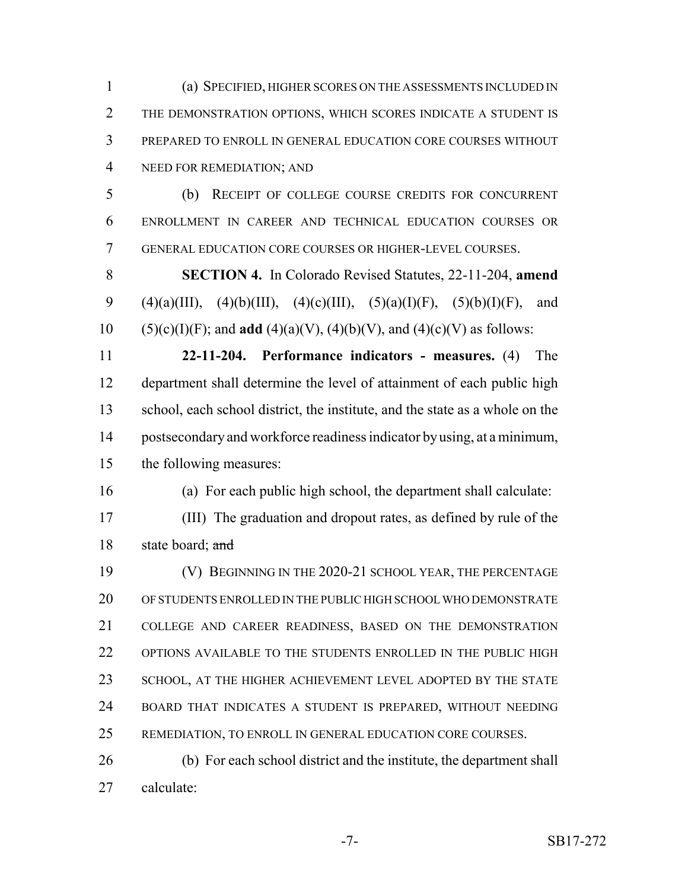(a) SPECIFIED, HIGHER SCORES ON THE ASSESSMENTS INCLUDED IN THE DEMONSTRATION OPTIONS, WHICH SCORES INDICATE A STUDENT IS PREPARED TO ENROLL IN GENERAL EDUCATION CORE COURSES WITHOUT NEED FOR REMEDIATION; AND

 (b) RECEIPT OF COLLEGE COURSE CREDITS FOR CONCURRENT ENROLLMENT IN CAREER AND TECHNICAL EDUCATION COURSES OR GENERAL EDUCATION CORE COURSES OR HIGHER-LEVEL COURSES.

 **SECTION 4.** In Colorado Revised Statutes, 22-11-204, **amend** 9 (4)(a)(III), (4)(b)(III), (4)(c)(III), (5)(a)(I)(F), (5)(b)(I)(F), and 10 (5)(c)(I)(F); and **add** (4)(a)(V), (4)(b)(V), and (4)(c)(V) as follows:

 **22-11-204. Performance indicators - measures.** (4) The department shall determine the level of attainment of each public high school, each school district, the institute, and the state as a whole on the postsecondary and workforce readiness indicator by using, at a minimum, the following measures:

(a) For each public high school, the department shall calculate:

 (III) The graduation and dropout rates, as defined by rule of the 18 state board; and

 (V) BEGINNING IN THE 2020-21 SCHOOL YEAR, THE PERCENTAGE OF STUDENTS ENROLLED IN THE PUBLIC HIGH SCHOOL WHO DEMONSTRATE COLLEGE AND CAREER READINESS, BASED ON THE DEMONSTRATION OPTIONS AVAILABLE TO THE STUDENTS ENROLLED IN THE PUBLIC HIGH SCHOOL, AT THE HIGHER ACHIEVEMENT LEVEL ADOPTED BY THE STATE BOARD THAT INDICATES A STUDENT IS PREPARED, WITHOUT NEEDING REMEDIATION, TO ENROLL IN GENERAL EDUCATION CORE COURSES.

 (b) For each school district and the institute, the department shall calculate: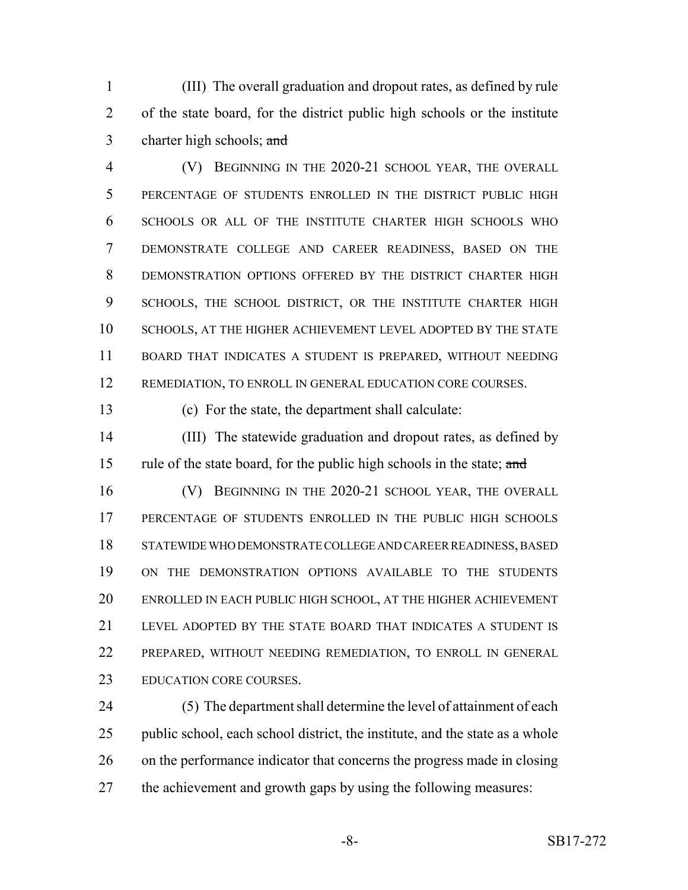(III) The overall graduation and dropout rates, as defined by rule of the state board, for the district public high schools or the institute 3 charter high schools; and

 (V) BEGINNING IN THE 2020-21 SCHOOL YEAR, THE OVERALL PERCENTAGE OF STUDENTS ENROLLED IN THE DISTRICT PUBLIC HIGH SCHOOLS OR ALL OF THE INSTITUTE CHARTER HIGH SCHOOLS WHO DEMONSTRATE COLLEGE AND CAREER READINESS, BASED ON THE DEMONSTRATION OPTIONS OFFERED BY THE DISTRICT CHARTER HIGH SCHOOLS, THE SCHOOL DISTRICT, OR THE INSTITUTE CHARTER HIGH SCHOOLS, AT THE HIGHER ACHIEVEMENT LEVEL ADOPTED BY THE STATE BOARD THAT INDICATES A STUDENT IS PREPARED, WITHOUT NEEDING 12 REMEDIATION, TO ENROLL IN GENERAL EDUCATION CORE COURSES.

(c) For the state, the department shall calculate:

 (III) The statewide graduation and dropout rates, as defined by 15 rule of the state board, for the public high schools in the state; and

16 (V) BEGINNING IN THE 2020-21 SCHOOL YEAR, THE OVERALL PERCENTAGE OF STUDENTS ENROLLED IN THE PUBLIC HIGH SCHOOLS STATEWIDE WHO DEMONSTRATE COLLEGE AND CAREER READINESS, BASED ON THE DEMONSTRATION OPTIONS AVAILABLE TO THE STUDENTS ENROLLED IN EACH PUBLIC HIGH SCHOOL, AT THE HIGHER ACHIEVEMENT LEVEL ADOPTED BY THE STATE BOARD THAT INDICATES A STUDENT IS PREPARED, WITHOUT NEEDING REMEDIATION, TO ENROLL IN GENERAL EDUCATION CORE COURSES.

 (5) The department shall determine the level of attainment of each public school, each school district, the institute, and the state as a whole on the performance indicator that concerns the progress made in closing the achievement and growth gaps by using the following measures: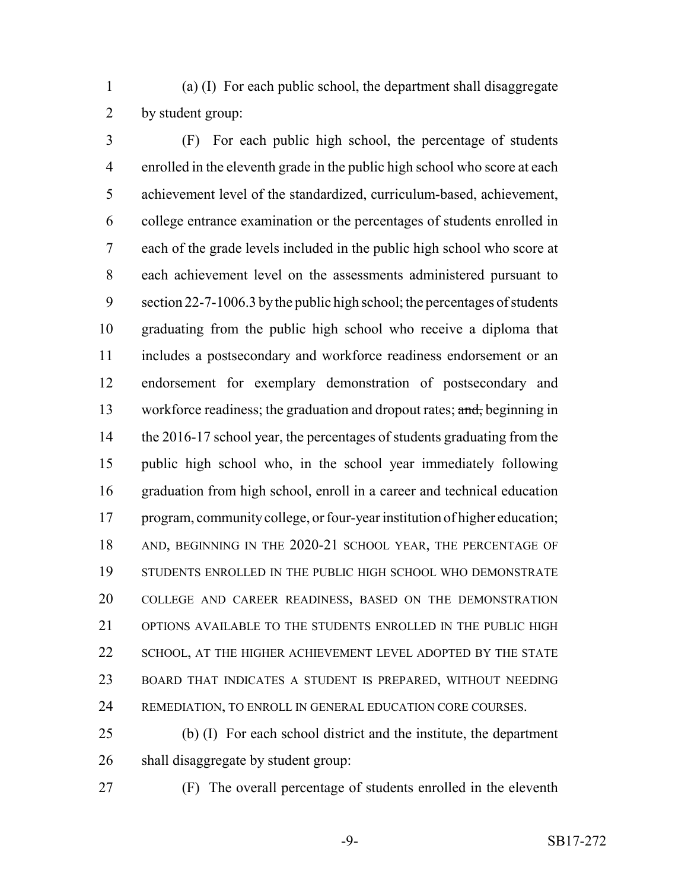(a) (I) For each public school, the department shall disaggregate by student group:

 (F) For each public high school, the percentage of students enrolled in the eleventh grade in the public high school who score at each achievement level of the standardized, curriculum-based, achievement, college entrance examination or the percentages of students enrolled in each of the grade levels included in the public high school who score at each achievement level on the assessments administered pursuant to section 22-7-1006.3 by the public high school; the percentages of students graduating from the public high school who receive a diploma that includes a postsecondary and workforce readiness endorsement or an endorsement for exemplary demonstration of postsecondary and 13 workforce readiness; the graduation and dropout rates; and, beginning in 14 the 2016-17 school year, the percentages of students graduating from the public high school who, in the school year immediately following graduation from high school, enroll in a career and technical education program, community college, or four-year institution of higher education; 18 AND, BEGINNING IN THE 2020-21 SCHOOL YEAR, THE PERCENTAGE OF 19 STUDENTS ENROLLED IN THE PUBLIC HIGH SCHOOL WHO DEMONSTRATE COLLEGE AND CAREER READINESS, BASED ON THE DEMONSTRATION OPTIONS AVAILABLE TO THE STUDENTS ENROLLED IN THE PUBLIC HIGH SCHOOL, AT THE HIGHER ACHIEVEMENT LEVEL ADOPTED BY THE STATE BOARD THAT INDICATES A STUDENT IS PREPARED, WITHOUT NEEDING REMEDIATION, TO ENROLL IN GENERAL EDUCATION CORE COURSES.

 (b) (I) For each school district and the institute, the department shall disaggregate by student group:

(F) The overall percentage of students enrolled in the eleventh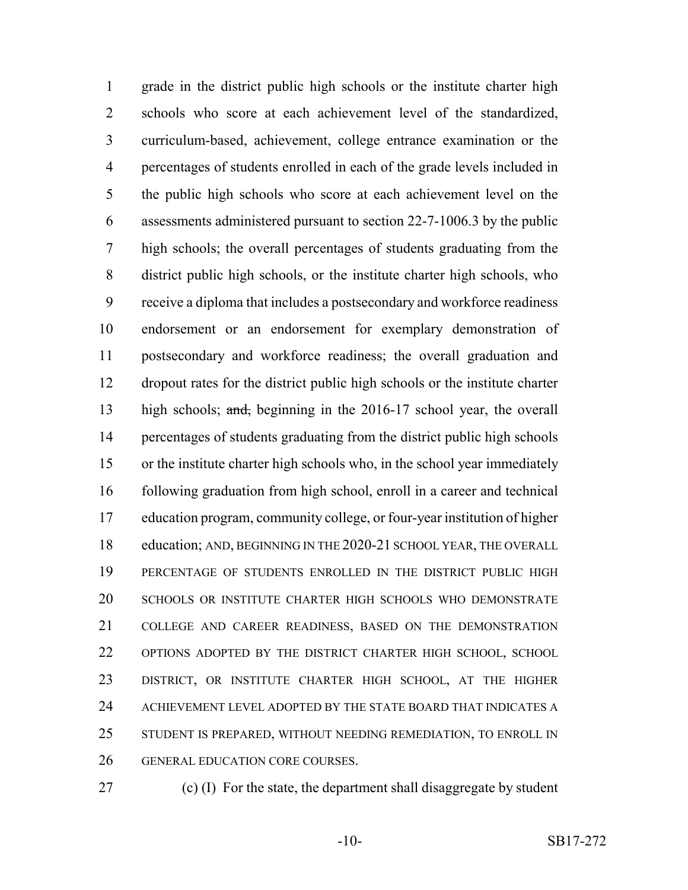grade in the district public high schools or the institute charter high schools who score at each achievement level of the standardized, curriculum-based, achievement, college entrance examination or the percentages of students enrolled in each of the grade levels included in the public high schools who score at each achievement level on the assessments administered pursuant to section 22-7-1006.3 by the public high schools; the overall percentages of students graduating from the district public high schools, or the institute charter high schools, who receive a diploma that includes a postsecondary and workforce readiness endorsement or an endorsement for exemplary demonstration of postsecondary and workforce readiness; the overall graduation and dropout rates for the district public high schools or the institute charter 13 high schools; and, beginning in the 2016-17 school year, the overall percentages of students graduating from the district public high schools or the institute charter high schools who, in the school year immediately following graduation from high school, enroll in a career and technical education program, community college, or four-year institution of higher 18 education; AND, BEGINNING IN THE 2020-21 SCHOOL YEAR, THE OVERALL PERCENTAGE OF STUDENTS ENROLLED IN THE DISTRICT PUBLIC HIGH SCHOOLS OR INSTITUTE CHARTER HIGH SCHOOLS WHO DEMONSTRATE COLLEGE AND CAREER READINESS, BASED ON THE DEMONSTRATION OPTIONS ADOPTED BY THE DISTRICT CHARTER HIGH SCHOOL, SCHOOL DISTRICT, OR INSTITUTE CHARTER HIGH SCHOOL, AT THE HIGHER ACHIEVEMENT LEVEL ADOPTED BY THE STATE BOARD THAT INDICATES A STUDENT IS PREPARED, WITHOUT NEEDING REMEDIATION, TO ENROLL IN GENERAL EDUCATION CORE COURSES.

(c) (I) For the state, the department shall disaggregate by student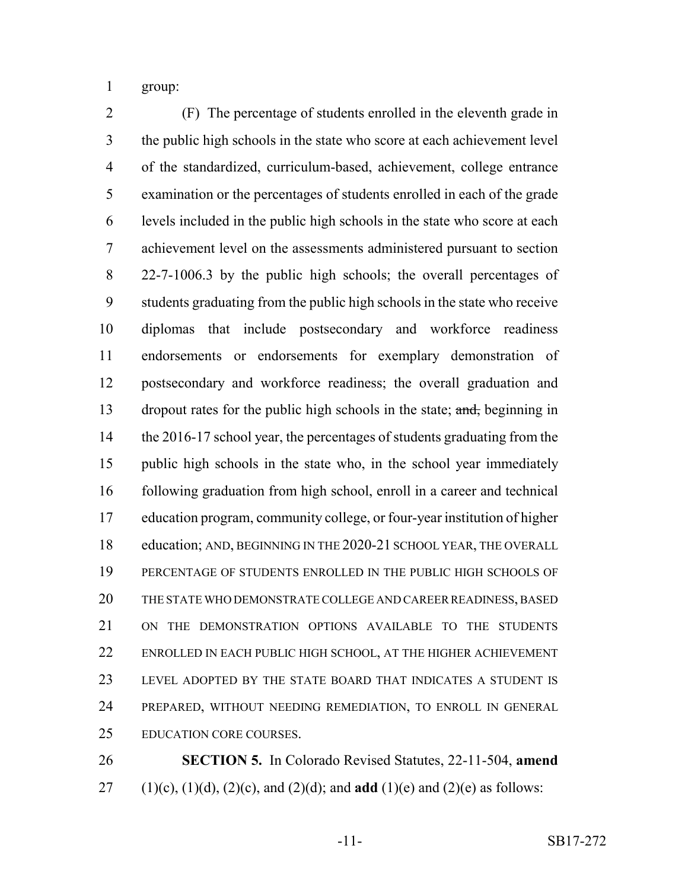group:

 (F) The percentage of students enrolled in the eleventh grade in the public high schools in the state who score at each achievement level of the standardized, curriculum-based, achievement, college entrance examination or the percentages of students enrolled in each of the grade levels included in the public high schools in the state who score at each achievement level on the assessments administered pursuant to section 22-7-1006.3 by the public high schools; the overall percentages of students graduating from the public high schools in the state who receive diplomas that include postsecondary and workforce readiness endorsements or endorsements for exemplary demonstration of postsecondary and workforce readiness; the overall graduation and 13 dropout rates for the public high schools in the state; and, beginning in 14 the 2016-17 school year, the percentages of students graduating from the public high schools in the state who, in the school year immediately following graduation from high school, enroll in a career and technical education program, community college, or four-year institution of higher 18 education; AND, BEGINNING IN THE 2020-21 SCHOOL YEAR, THE OVERALL PERCENTAGE OF STUDENTS ENROLLED IN THE PUBLIC HIGH SCHOOLS OF THE STATE WHO DEMONSTRATE COLLEGE AND CAREER READINESS, BASED ON THE DEMONSTRATION OPTIONS AVAILABLE TO THE STUDENTS ENROLLED IN EACH PUBLIC HIGH SCHOOL, AT THE HIGHER ACHIEVEMENT LEVEL ADOPTED BY THE STATE BOARD THAT INDICATES A STUDENT IS PREPARED, WITHOUT NEEDING REMEDIATION, TO ENROLL IN GENERAL EDUCATION CORE COURSES.

 **SECTION 5.** In Colorado Revised Statutes, 22-11-504, **amend** 27 (1)(c), (1)(d), (2)(c), and (2)(d); and **add** (1)(e) and (2)(e) as follows: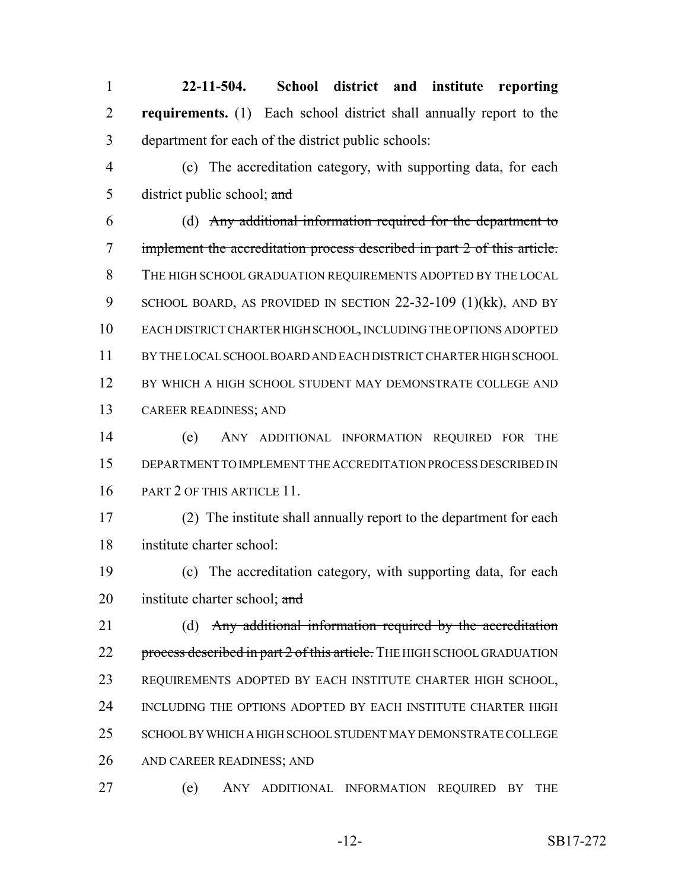**22-11-504. School district and institute reporting requirements.** (1) Each school district shall annually report to the department for each of the district public schools:

 (c) The accreditation category, with supporting data, for each 5 district public school; and

 (d) Any additional information required for the department to implement the accreditation process described in part 2 of this article. THE HIGH SCHOOL GRADUATION REQUIREMENTS ADOPTED BY THE LOCAL SCHOOL BOARD, AS PROVIDED IN SECTION 22-32-109 (1)(kk), AND BY EACH DISTRICT CHARTER HIGH SCHOOL, INCLUDING THE OPTIONS ADOPTED BY THE LOCAL SCHOOL BOARD AND EACH DISTRICT CHARTER HIGH SCHOOL 12 BY WHICH A HIGH SCHOOL STUDENT MAY DEMONSTRATE COLLEGE AND CAREER READINESS; AND

 (e) ANY ADDITIONAL INFORMATION REQUIRED FOR THE DEPARTMENT TO IMPLEMENT THE ACCREDITATION PROCESS DESCRIBED IN PART 2 OF THIS ARTICLE 11.

 (2) The institute shall annually report to the department for each institute charter school:

 (c) The accreditation category, with supporting data, for each 20 institute charter school; and

21 (d) Any additional information required by the accreditation 22 process described in part 2 of this article. THE HIGH SCHOOL GRADUATION REQUIREMENTS ADOPTED BY EACH INSTITUTE CHARTER HIGH SCHOOL, INCLUDING THE OPTIONS ADOPTED BY EACH INSTITUTE CHARTER HIGH SCHOOL BY WHICH A HIGH SCHOOL STUDENT MAY DEMONSTRATE COLLEGE AND CAREER READINESS; AND

(e) ANY ADDITIONAL INFORMATION REQUIRED BY THE